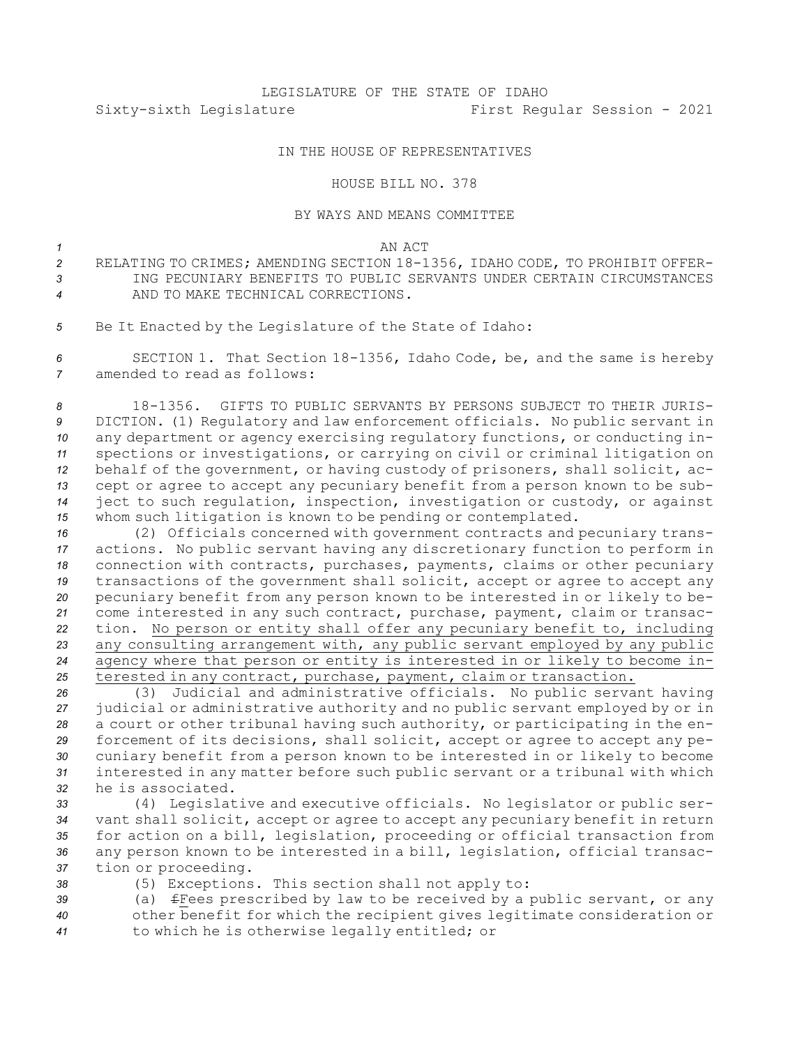## IN THE HOUSE OF REPRESENTATIVES

## HOUSE BILL NO. 378

## BY WAYS AND MEANS COMMITTEE

*1* AN ACT

- *<sup>2</sup>* RELATING TO CRIMES; AMENDING SECTION 18-1356, IDAHO CODE, TO PROHIBIT OFFER-*3* ING PECUNIARY BENEFITS TO PUBLIC SERVANTS UNDER CERTAIN CIRCUMSTANCES *4* AND TO MAKE TECHNICAL CORRECTIONS.
- *<sup>5</sup>* Be It Enacted by the Legislature of the State of Idaho:

*<sup>6</sup>* SECTION 1. That Section 18-1356, Idaho Code, be, and the same is hereby *7* amended to read as follows:

 18-1356. GIFTS TO PUBLIC SERVANTS BY PERSONS SUBJECT TO THEIR JURIS- DICTION. (1) Regulatory and law enforcement officials. No public servant in any department or agency exercising regulatory functions, or conducting in- spections or investigations, or carrying on civil or criminal litigation on behalf of the government, or having custody of prisoners, shall solicit, ac- cept or agree to accept any pecuniary benefit from <sup>a</sup> person known to be sub- ject to such regulation, inspection, investigation or custody, or against whom such litigation is known to be pending or contemplated.

 (2) Officials concerned with government contracts and pecuniary trans- actions. No public servant having any discretionary function to perform in connection with contracts, purchases, payments, claims or other pecuniary transactions of the government shall solicit, accept or agree to accept any pecuniary benefit from any person known to be interested in or likely to be- come interested in any such contract, purchase, payment, claim or transac- tion. No person or entity shall offer any pecuniary benefit to, including any consulting arrangement with, any public servant employed by any public agency where that person or entity is interested in or likely to become in-terested in any contract, purchase, payment, claim or transaction.

 (3) Judicial and administrative officials. No public servant having judicial or administrative authority and no public servant employed by or in <sup>a</sup> court or other tribunal having such authority, or participating in the en- forcement of its decisions, shall solicit, accept or agree to accept any pe- cuniary benefit from <sup>a</sup> person known to be interested in or likely to become interested in any matter before such public servant or <sup>a</sup> tribunal with which he is associated.

- *<sup>33</sup>* (4) Legislative and executive officials. No legislator or public ser-*<sup>34</sup>* vant shall solicit, accept or agree to accept any pecuniary benefit in return *<sup>35</sup>* for action on <sup>a</sup> bill, legislation, proceeding or official transaction from *<sup>36</sup>* any person known to be interested in <sup>a</sup> bill, legislation, official transac-*<sup>37</sup>* tion or proceeding.
- *<sup>38</sup>* (5) Exceptions. This section shall not apply to:

*<sup>39</sup>* (a) fFees prescribed by law to be received by <sup>a</sup> public servant, or any *<sup>40</sup>* other benefit for which the recipient gives legitimate consideration or *<sup>41</sup>* to which he is otherwise legally entitled; or